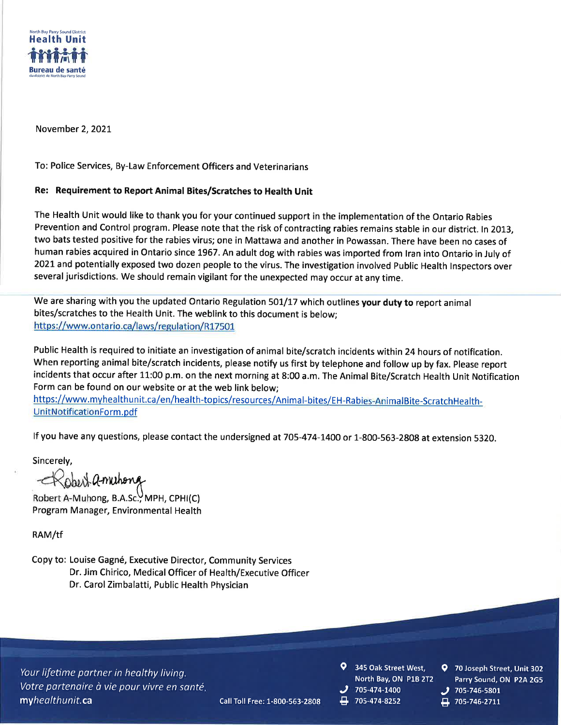

November 2, 2021

To: Police Services, By-Law Enforcement Officers and Veterinarians

## Re: Requirement to Report Animal Bites/Scratches to Health Unit

The Health Unit would like to thank you for your continued support in the implementation of the Ontario Rabies Prevention and Control program. Please note that the risk of contracting rabies remains stable in our district. In 2013, two bats tested positive for the rabies virus; one in Mattawa and another in Powassan. There have been no cases of human rabies acquired in Ontario since 1967. An adult dog with rabies was imported from Iran into Ontario in July of 2021 and potentially exposed two dozen people to the virus. The investigation involved Public Health Inspectors over several jurisdictions. We should remain vigilant for the unexpected may occur at any time.

We are sharing with you the updated Ontario Regulation 501/17 which outlines your duty to report animal bites/scratches to the Health Unit. The weblink to this document is below: https://www.ontario.ca/laws/regulation/R17501

Public Health is required to initiate an investigation of animal bite/scratch incidents within 24 hours of notification. When reporting animal bite/scratch incidents, please notify us first by telephone and follow up by fax. Please report incidents that occur after 11:00 p.m. on the next morning at 8:00 a.m. The Animal Bite/Scratch Health Unit Notification Form can be found on our website or at the web link below;

https://www.myhealthunit.ca/en/health-topics/resources/Animal-bites/EH-Rabies-AnimalBite-ScratchHealth-UnitNotificationForm.pdf

If you have any questions, please contact the undersigned at 705-474-1400 or 1-800-563-2808 at extension 5320.

Call Toll Free: 1-800-563-2808

Sincerely,

Robert Q-muntong<br>Robert A-Munong, B.A.sc., MPH, CPHI(C) Program Manager, Environmental Health

RAM/tf

Copy to: Louise Gagné, Executive Director, Community Services Dr. Jim Chirico, Medical Officer of Health/Executive Officer Dr. Carol Zimbalatti, Public Health Physician

Your lifetime partner in healthy living. Votre partenaire à vie pour vivre en santé. myhealthunit.ca

- 345 Oak Street West, North Bay, ON P1B 2T2 705-474-1400
- 705-474-8252
- 9 70 Joseph Street, Unit 302 Parry Sound, ON P2A 2G5
- 705-746-5801 705-746-2711